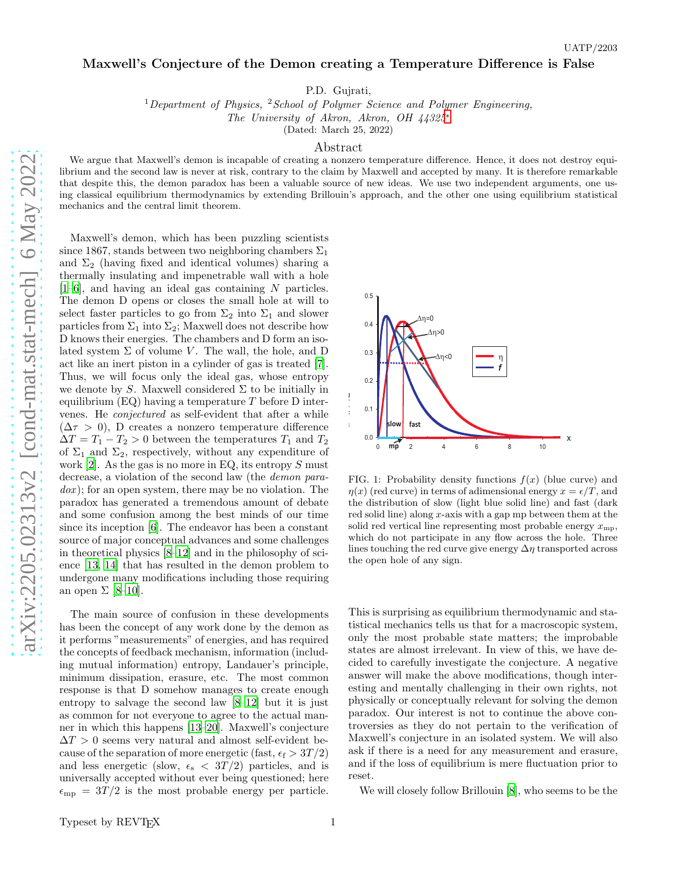## Maxwell's Conjecture of the Demon creating a Temperature Difference is False

P.D. Gujrati,

<sup>1</sup>Department of Physics, <sup>2</sup>School of Polymer Science and Polymer Engineering,

The University of Akron, Akron, OH 44325[∗](#page-3-0)

(Dated: March 25, 2022)

## Abstract

We argue that Maxwell's demon is incapable of creating a nonzero temperature difference. Hence, it does not destroy equilibrium and the second law is never at risk, contrary to the claim by Maxwell and accepted by many. It is therefore remarkable that despite this, the demon paradox has been a valuable source of new ideas. We use two independent arguments, one using classical equilibrium thermodynamics by extending Brillouin's approach, and the other one using equilibrium statistical mechanics and the central limit theorem.

Maxwell's demon, which has been puzzling scientists since 1867, stands between two neighboring chambers  $\Sigma_1$ and  $\Sigma_2$  (having fixed and identical volumes) sharing a thermally insulating and impenetrable wall with a hole  $[1-6]$  $[1-6]$ , and having an ideal gas containing N particles. The demon D opens or closes the small hole at will to select faster particles to go from  $\Sigma_2$  into  $\Sigma_1$  and slower particles from  $\Sigma_1$  into  $\Sigma_2$ ; Maxwell does not describe how D knows their energies. The chambers and D form an isolated system  $\Sigma$  of volume V. The wall, the hole, and D act like an inert piston in a cylinder of gas is treated [\[7\]](#page-3-3). Thus, we will focus only the ideal gas, whose entropy we denote by S. Maxwell considered  $\Sigma$  to be initially in equilibrium  $(EQ)$  having a temperature T before D intervenes. He conjectured as self-evident that after a while  $(\Delta \tau > 0)$ , D creates a nonzero temperature difference  $\Delta T = T_1 - T_2 > 0$  between the temperatures  $T_1$  and  $T_2$ of  $\Sigma_1$  and  $\Sigma_2$ , respectively, without any expenditure of work  $[2]$ . As the gas is no more in EQ, its entropy S must decrease, a violation of the second law (the demon para $d(x)$ ; for an open system, there may be no violation. The paradox has generated a tremendous amount of debate and some confusion among the best minds of our time since its inception [\[6](#page-3-2)]. The endeavor has been a constant source of major conceptual advances and some challenges in theoretical physics [\[8](#page-3-5)[–12](#page-3-6)] and in the philosophy of science [\[13](#page-3-7), [14](#page-3-8)] that has resulted in the demon problem to undergone many modifications including those requiring an open  $\Sigma$  [\[8](#page-3-5)[–10](#page-3-9)].

The main source of confusion in these developments has been the concept of any work done by the demon as it performs "measurements" of energies, and has required the concepts of feedback mechanism, information (including mutual information) entropy, Landauer's principle, minimum dissipation, erasure, etc. The most common response is that D somehow manages to create enough entropy to salvage the second law [\[8](#page-3-5)[–12\]](#page-3-6) but it is just as common for not everyone to agree to the actual manner in which this happens [\[13](#page-3-7)[–20\]](#page-3-10). Maxwell's conjecture  $\Delta T > 0$  seems very natural and almost self-evident because of the separation of more energetic (fast,  $\epsilon_f > 3T/2$ ) and less energetic (slow,  $\epsilon_{\rm s}$  < 3T/2) particles, and is universally accepted without ever being questioned; here  $\epsilon_{\rm mp} = 3T/2$  is the most probable energy per particle.



<span id="page-0-0"></span>FIG. 1: Probability density functions  $f(x)$  (blue curve) and  $\eta(x)$  (red curve) in terms of adimensional energy  $x = \epsilon/T$ , and the distribution of slow (light blue solid line) and fast (dark red solid line) along  $x$ -axis with a gap mp between them at the solid red vertical line representing most probable energy  $x_{\text{mp}}$ , which do not participate in any flow across the hole. Three lines touching the red curve give energy  $\Delta \eta$  transported across the open hole of any sign.

This is surprising as equilibrium thermodynamic and statistical mechanics tells us that for a macroscopic system, only the most probable state matters; the improbable states are almost irrelevant. In view of this, we have decided to carefully investigate the conjecture. A negative answer will make the above modifications, though interesting and mentally challenging in their own rights, not physically or conceptually relevant for solving the demon paradox. Our interest is not to continue the above controversies as they do not pertain to the verification of Maxwell's conjecture in an isolated system. We will also ask if there is a need for any measurement and erasure, and if the loss of equilibrium is mere fluctuation prior to reset.

We will closely follow Brillouin [\[8](#page-3-5)], who seems to be the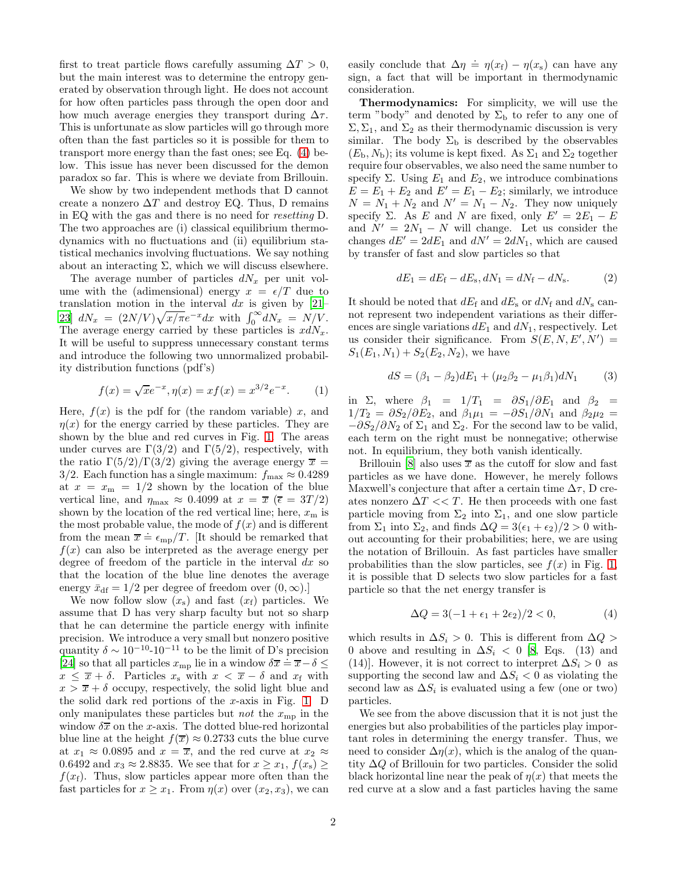first to treat particle flows carefully assuming  $\Delta T > 0$ , but the main interest was to determine the entropy generated by observation through light. He does not account for how often particles pass through the open door and how much average energies they transport during  $\Delta \tau$ . This is unfortunate as slow particles will go through more often than the fast particles so it is possible for them to transport more energy than the fast ones; see Eq. [\(4\)](#page-1-0) below. This issue has never been discussed for the demon paradox so far. This is where we deviate from Brillouin.

We show by two independent methods that D cannot create a nonzero  $\Delta T$  and destroy EQ. Thus, D remains in EQ with the gas and there is no need for resetting D. The two approaches are (i) classical equilibrium thermodynamics with no fluctuations and (ii) equilibrium statistical mechanics involving fluctuations. We say nothing about an interacting  $\Sigma$ , which we will discuss elsewhere.

The average number of particles  $dN_x$  per unit volume with the (adimensional) energy  $x = \epsilon/T$  due to translation motion in the interval dx is given by  $[21-$ [23\]](#page-3-12)  $dN_x = (2N/V)\sqrt{x/\pi}e^{-x}dx$  with  $\int_0^\infty dN_x = N/V$ . The average energy carried by these particles is  $xdN_x$ . It will be useful to suppress unnecessary constant terms and introduce the following two unnormalized probability distribution functions (pdf's)

$$
f(x) = \sqrt{x}e^{-x}, \eta(x) = xf(x) = x^{3/2}e^{-x}.
$$
 (1)

Here,  $f(x)$  is the pdf for (the random variable) x, and  $\eta(x)$  for the energy carried by these particles. They are shown by the blue and red curves in Fig. [1.](#page-0-0) The areas under curves are  $\Gamma(3/2)$  and  $\Gamma(5/2)$ , respectively, with the ratio  $\Gamma(5/2)/\Gamma(3/2)$  giving the average energy  $\bar{x}$  = 3/2. Each function has a single maximum:  $f_{\text{max}} \approx 0.4289$ at  $x = x_m = 1/2$  shown by the location of the blue vertical line, and  $\eta_{\text{max}} \approx 0.4099$  at  $x = \overline{x}$  ( $\overline{\epsilon} = 3T/2$ ) shown by the location of the red vertical line; here,  $x<sub>m</sub>$  is the most probable value, the mode of  $f(x)$  and is different from the mean  $\bar{x} \doteq \epsilon_{mp}/T$ . [It should be remarked that  $f(x)$  can also be interpreted as the average energy per degree of freedom of the particle in the interval  $dx$  so that the location of the blue line denotes the average energy  $\bar{x}_{df} = 1/2$  per degree of freedom over  $(0, \infty)$ .

We now follow slow  $(x_s)$  and fast  $(x_f)$  particles. We assume that D has very sharp faculty but not so sharp that he can determine the particle energy with infinite precision. We introduce a very small but nonzero positive quantity  $\delta \sim 10^{-10}$ -10<sup>-11</sup> to be the limit of D's precision [\[24\]](#page-3-13) so that all particles  $x_{mp}$  lie in a window  $\delta \overline{x} = \overline{x} - \delta \leq$  $x \leq \overline{x} + \delta$ . Particles  $x_s$  with  $x < \overline{x} - \delta$  and  $x_f$  with  $x > \overline{x} + \delta$  occupy, respectively, the solid light blue and the solid dark red portions of the x-axis in Fig. [1.](#page-0-0)  $D$ only manipulates these particles but *not* the  $x_{mp}$  in the window  $\delta \overline{x}$  on the x-axis. The dotted blue-red horizontal blue line at the height  $f(\overline{x}) \approx 0.2733$  cuts the blue curve at  $x_1 \approx 0.0895$  and  $x = \overline{x}$ , and the red curve at  $x_2 \approx$ 0.6492 and  $x_3 \approx 2.8835$ . We see that for  $x \ge x_1$ ,  $f(x_3) \ge$  $f(x<sub>f</sub>)$ . Thus, slow particles appear more often than the fast particles for  $x \geq x_1$ . From  $\eta(x)$  over  $(x_2, x_3)$ , we can

easily conclude that  $\Delta \eta = \eta(x_f) - \eta(x_s)$  can have any sign, a fact that will be important in thermodynamic consideration.

Thermodynamics: For simplicity, we will use the term "body" and denoted by  $\Sigma_b$  to refer to any one of  $\Sigma$ ,  $\Sigma_1$ , and  $\Sigma_2$  as their thermodynamic discussion is very similar. The body  $\Sigma_{\rm b}$  is described by the observables  $(E_{\rm b}, N_{\rm b})$ ; its volume is kept fixed. As  $\Sigma_1$  and  $\Sigma_2$  together require four observables, we also need the same number to specify  $\Sigma$ . Using  $E_1$  and  $E_2$ , we introduce combinations  $\vec{E} = \vec{E}_1 + E_2$  and  $\vec{E'} = E_1 - E_2$ ; similarly, we introduce  $N = N_1 + N_2$  and  $N' = N_1 - N_2$ . They now uniquely specify Σ. As E and N are fixed, only  $E' = 2E_1 - E$ and  $N' = 2N_1 - N$  will change. Let us consider the changes  $dE' = 2dE_1$  and  $dN' = 2dN_1$ , which are caused by transfer of fast and slow particles so that

<span id="page-1-1"></span>
$$
dE_1 = dE_{\rm f} - dE_{\rm s}, dN_1 = dN_{\rm f} - dN_{\rm s}.
$$
 (2)

It should be noted that  $dE_f$  and  $dE_s$  or  $dN_f$  and  $dN_s$  cannot represent two independent variations as their differences are single variations  $dE_1$  and  $dN_1$ , respectively. Let us consider their significance. From  $S(E, N, E', N') =$  $S_1(E_1, N_1) + S_2(E_2, N_2)$ , we have

<span id="page-1-2"></span>
$$
dS = (\beta_1 - \beta_2)dE_1 + (\mu_2\beta_2 - \mu_1\beta_1)dN_1 \tag{3}
$$

in Σ, where  $\beta_1 = 1/T_1 = \partial S_1/\partial E_1$  and  $\beta_2 =$  $1/T_2 = \partial S_2/\partial E_2$ , and  $\beta_1\mu_1 = -\partial S_1/\partial N_1$  and  $\beta_2\mu_2 =$  $-\partial S_2/\partial N_2$  of  $\Sigma_1$  and  $\Sigma_2$ . For the second law to be valid, each term on the right must be nonnegative; otherwise not. In equilibrium, they both vanish identically.

Brillouin [\[8](#page-3-5)] also uses  $\bar{x}$  as the cutoff for slow and fast particles as we have done. However, he merely follows Maxwell's conjecture that after a certain time  $\Delta \tau$ , D creates nonzero  $\Delta T << T$ . He then proceeds with one fast particle moving from  $\Sigma_2$  into  $\Sigma_1$ , and one slow particle from  $\Sigma_1$  into  $\Sigma_2$ , and finds  $\Delta Q = 3(\epsilon_1 + \epsilon_2)/2 > 0$  without accounting for their probabilities; here, we are using the notation of Brillouin. As fast particles have smaller probabilities than the slow particles, see  $f(x)$  in Fig. [1,](#page-0-0) it is possible that D selects two slow particles for a fast particle so that the net energy transfer is

<span id="page-1-0"></span>
$$
\Delta Q = 3(-1 + \epsilon_1 + 2\epsilon_2)/2 < 0,\tag{4}
$$

which results in  $\Delta S_i > 0$ . This is different from  $\Delta Q >$ 0 above and resulting in  $\Delta S_i$  < 0 [\[8](#page-3-5), Eqs. (13) and (14)]. However, it is not correct to interpret  $\Delta S_i > 0$  as supporting the second law and  $\Delta S_i$  < 0 as violating the second law as  $\Delta S_i$  is evaluated using a few (one or two) particles.

We see from the above discussion that it is not just the energies but also probabilities of the particles play important roles in determining the energy transfer. Thus, we need to consider  $\Delta \eta(x)$ , which is the analog of the quantity ∆Q of Brillouin for two particles. Consider the solid black horizontal line near the peak of  $\eta(x)$  that meets the red curve at a slow and a fast particles having the same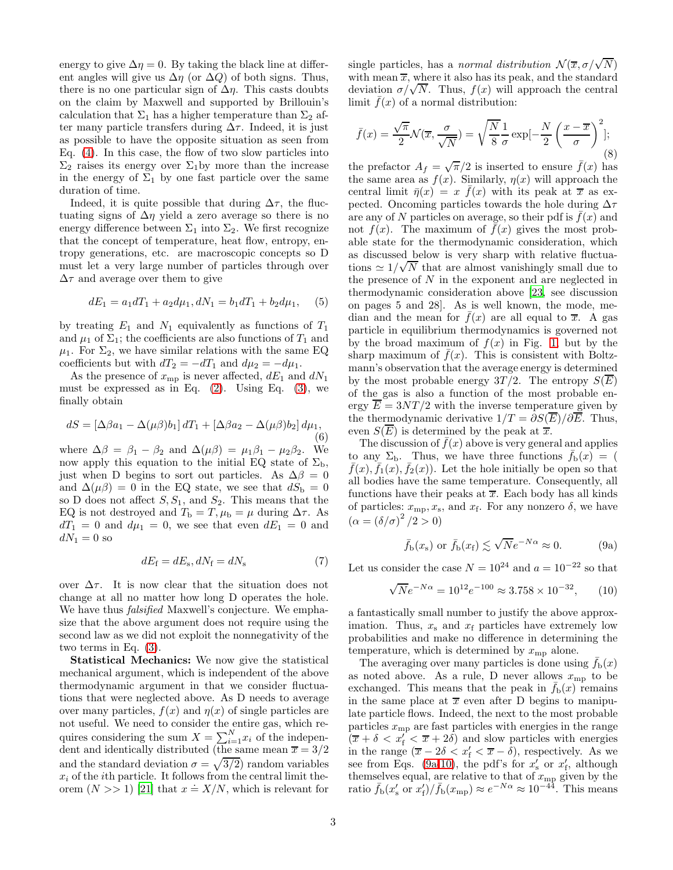energy to give  $\Delta \eta = 0$ . By taking the black line at different angles will give us  $\Delta \eta$  (or  $\Delta Q$ ) of both signs. Thus, there is no one particular sign of  $\Delta \eta$ . This casts doubts on the claim by Maxwell and supported by Brillouin's calculation that  $\Sigma_1$  has a higher temperature than  $\Sigma_2$  after many particle transfers during  $\Delta \tau$ . Indeed, it is just as possible to have the opposite situation as seen from Eq. [\(4\)](#page-1-0). In this case, the flow of two slow particles into  $\Sigma_2$  raises its energy over  $\Sigma_1$ by more than the increase in the energy of  $\Sigma_1$  by one fast particle over the same duration of time.

Indeed, it is quite possible that during  $\Delta \tau$ , the fluctuating signs of  $\Delta \eta$  yield a zero average so there is no energy difference between  $\Sigma_1$  into  $\Sigma_2$ . We first recognize that the concept of temperature, heat flow, entropy, entropy generations, etc. are macroscopic concepts so D must let a very large number of particles through over  $\Delta \tau$  and average over them to give

<span id="page-2-3"></span>
$$
dE_1 = a_1 dT_1 + a_2 d\mu_1, dN_1 = b_1 dT_1 + b_2 d\mu_1,\tag{5}
$$

by treating  $E_1$  and  $N_1$  equivalently as functions of  $T_1$ and  $\mu_1$  of  $\Sigma_1$ ; the coefficients are also functions of  $T_1$  and  $\mu_1$ . For  $\Sigma_2$ , we have similar relations with the same EQ coefficients but with  $dT_2 = -dT_1$  and  $d\mu_2 = -d\mu_1$ .

As the presence of  $x_{mp}$  is never affected,  $dE_1$  and  $dN_1$ must be expressed as in Eq.  $(2)$ . Using Eq.  $(3)$ , we finally obtain

$$
dS = \left[\Delta\beta a_1 - \Delta(\mu\beta)b_1\right]dT_1 + \left[\Delta\beta a_2 - \Delta(\mu\beta)b_2\right]d\mu_1,
$$
\n(6)

where  $\Delta \beta = \beta_1 - \beta_2$  and  $\Delta(\mu \beta) = \mu_1 \beta_1 - \mu_2 \beta_2$ . We now apply this equation to the initial EQ state of  $\Sigma_{\rm b}$ , just when D begins to sort out particles. As  $\Delta\beta = 0$ and  $\Delta(\mu\beta) = 0$  in the EQ state, we see that  $dS_{\rm b} = 0$ so D does not affect  $S, S_1$ , and  $S_2$ . This means that the EQ is not destroyed and  $T_{\rm b} = T$ ,  $\mu_{\rm b} = \mu$  during  $\Delta \tau$ . As  $dT_1 = 0$  and  $d\mu_1 = 0$ , we see that even  $dE_1 = 0$  and  $dN_1 = 0$  so

<span id="page-2-2"></span>
$$
dE_{\rm f} = dE_{\rm s}, dN_{\rm f} = dN_{\rm s} \tag{7}
$$

over  $\Delta \tau$ . It is now clear that the situation does not change at all no matter how long D operates the hole. We have thus falsified Maxwell's conjecture. We emphasize that the above argument does not require using the second law as we did not exploit the nonnegativity of the two terms in Eq. [\(3\)](#page-1-2).

Statistical Mechanics: We now give the statistical mechanical argument, which is independent of the above thermodynamic argument in that we consider fluctuations that were neglected above. As D needs to average over many particles,  $f(x)$  and  $\eta(x)$  of single particles are not useful. We need to consider the entire gas, which requires considering the sum  $X = \sum_{i=1}^{N} x_i$  of the independent and identically distributed (the same mean  $\overline{x} = 3/2$ and the standard deviation  $\sigma = \sqrt{3/2}$  random variables  $x_i$  of the *i*th particle. It follows from the central limit theorem  $(N >> 1)$  [\[21\]](#page-3-11) that  $x = X/N$ , which is relevant for

single particles, has a normal distribution  $\mathcal{N}(\overline{x}, \sigma/\sqrt{N})$ with mean  $\overline{x}$ , where it also has its peak, and the standard deviation  $\sigma/\sqrt{N}$ . Thus,  $f(x)$  will approach the central limit  $\bar{f}(x)$  of a normal distribution:

$$
\bar{f}(x) = \frac{\sqrt{\pi}}{2} \mathcal{N}(\overline{x}, \frac{\sigma}{\sqrt{N}}) = \sqrt{\frac{N}{8}} \frac{1}{\sigma} \exp\left[-\frac{N}{2}\left(\frac{x-\overline{x}}{\sigma}\right)^2\right];\tag{8}
$$

the prefactor  $A_f = \sqrt{\pi/2}$  is inserted to ensure  $\bar{f}(x)$  has the same area as  $f(x)$ . Similarly,  $\eta(x)$  will approach the central limit  $\bar{\eta}(x) = x \bar{f}(x)$  with its peak at  $\bar{x}$  as expected. Oncoming particles towards the hole during  $\Delta \tau$ are any of N particles on average, so their pdf is  $f(x)$  and not  $f(x)$ . The maximum of  $\bar{f}(x)$  gives the most probable state for the thermodynamic consideration, which as discussed below is very sharp with relative fluctuations  $\simeq 1/\sqrt{N}$  that are almost vanishingly small due to the presence of  $N$  in the exponent and are neglected in thermodynamic consideration above [\[23,](#page-3-12) see discussion on pages 5 and 28]. As is well known, the mode, median and the mean for  $\bar{f}(x)$  are all equal to  $\bar{x}$ . A gas particle in equilibrium thermodynamics is governed not by the broad maximum of  $f(x)$  in Fig. [1,](#page-0-0) but by the sharp maximum of  $\bar{f}(x)$ . This is consistent with Boltzmann's observation that the average energy is determined by the most probable energy  $3T/2$ . The entropy  $S(\overline{E})$ of the gas is also a function of the most probable energy  $\overline{E} = 3NT/2$  with the inverse temperature given by the thermodynamic derivative  $1/T = \partial S(\overline{E})/\partial \overline{E}$ . Thus, even  $S(\overline{E})$  is determined by the peak at  $\overline{x}$ .

The discussion of  $f(x)$  above is very general and applies to any  $\Sigma_{\rm b}$ . Thus, we have three functions  $\bar{f}_{\rm b}(x) =$  (  $\bar{f}(x), \bar{f}_1(x), \bar{f}_2(x)$ . Let the hole initially be open so that all bodies have the same temperature. Consequently, all functions have their peaks at  $\overline{x}$ . Each body has all kinds of particles:  $x_{\text{mp}}$ ,  $x_{\text{s}}$ , and  $x_{\text{f}}$ . For any nonzero  $\delta$ , we have  $(\alpha = (\delta/\sigma)^2/2 > 0)$ 

<span id="page-2-0"></span>
$$
\bar{f}_{\mathrm{b}}(x_{\mathrm{s}})
$$
 or  $\bar{f}_{\mathrm{b}}(x_{\mathrm{f}}) \lesssim \sqrt{N}e^{-N\alpha} \approx 0.$  (9a)

Let us consider the case  $N = 10^{24}$  and  $a = 10^{-22}$  so that

<span id="page-2-1"></span>
$$
\sqrt{N}e^{-N\alpha} = 10^{12}e^{-100} \approx 3.758 \times 10^{-32},\qquad(10)
$$

a fantastically small number to justify the above approximation. Thus,  $x_s$  and  $x_f$  particles have extremely low probabilities and make no difference in determining the temperature, which is determined by  $x_{mp}$  alone.

The averaging over many particles is done using  $f_{\rm b}(x)$ as noted above. As a rule, D never allows  $x_{mp}$  to be exchanged. This means that the peak in  $\bar{f}_b(x)$  remains in the same place at  $\bar{x}$  even after D begins to manipulate particle flows. Indeed, the next to the most probable particles  $x_{\text{mp}}$  are fast particles with energies in the range  $(\overline{x} + \delta < x'_{f} < \overline{x} + 2\delta)$  and slow particles with energies in the range  $(\overline{x} - 2\delta < x'_f < \overline{x} - \delta)$ , respectively. As we see from Eqs. [\(9a-](#page-2-0)[10\)](#page-2-1), the pdf's for  $x'_{s}$  or  $x'_{f}$ , although themselves equal, are relative to that of  $x_{mp}$  given by the ratio  $\bar{f}_b(x'_s \text{ or } x'_f)/\bar{f}_b(x_{mp}) \approx e^{-N\alpha} \approx 10^{-44}$ . This means